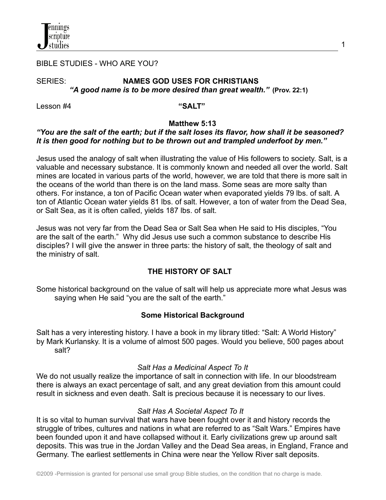

#### BIBLE STUDIES - WHO ARE YOU?

#### SERIES: **NAMES GOD USES FOR CHRISTIANS** *"A good name is to be more desired than great wealth."* **(Prov. 22:1)**

Lesson #4 **"SALT"**

#### **Matthew 5:13**

#### *"You are the salt of the earth; but if the salt loses its flavor, how shall it be seasoned? It is then good for nothing but to be thrown out and trampled underfoot by men."*

Jesus used the analogy of salt when illustrating the value of His followers to society. Salt, is a valuable and necessary substance. It is commonly known and needed all over the world. Salt mines are located in various parts of the world, however, we are told that there is more salt in the oceans of the world than there is on the land mass. Some seas are more salty than others. For instance, a ton of Pacific Ocean water when evaporated yields 79 lbs. of salt. A ton of Atlantic Ocean water yields 81 lbs. of salt. However, a ton of water from the Dead Sea, or Salt Sea, as it is often called, yields 187 lbs. of salt.

Jesus was not very far from the Dead Sea or Salt Sea when He said to His disciples, "You are the salt of the earth." Why did Jesus use such a common substance to describe His disciples? I will give the answer in three parts: the history of salt, the theology of salt and the ministry of salt.

#### **THE HISTORY OF SALT**

Some historical background on the value of salt will help us appreciate more what Jesus was saying when He said "you are the salt of the earth."

#### **Some Historical Background**

Salt has a very interesting history. I have a book in my library titled: "Salt: A World History" by Mark Kurlansky. It is a volume of almost 500 pages. Would you believe, 500 pages about salt?

#### *Salt Has a Medicinal Aspect To It*

We do not usually realize the importance of salt in connection with life. In our bloodstream there is always an exact percentage of salt, and any great deviation from this amount could result in sickness and even death. Salt is precious because it is necessary to our lives.

#### *Salt Has A Societal Aspect To It*

It is so vital to human survival that wars have been fought over it and history records the struggle of tribes, cultures and nations in what are referred to as "Salt Wars." Empires have been founded upon it and have collapsed without it. Early civilizations grew up around salt deposits. This was true in the Jordan Valley and the Dead Sea areas, in England, France and Germany. The earliest settlements in China were near the Yellow River salt deposits.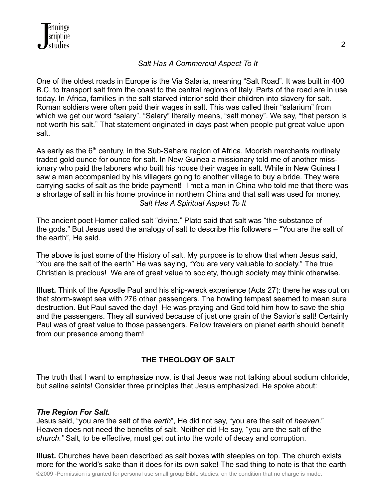# *Salt Has A Commercial Aspect To It*

One of the oldest roads in Europe is the Via Salaria, meaning "Salt Road". It was built in 400 B.C. to transport salt from the coast to the central regions of Italy. Parts of the road are in use today. In Africa, families in the salt starved interior sold their children into slavery for salt. Roman soldiers were often paid their wages in salt. This was called their "salarium" from which we get our word "salary". "Salary" literally means, "salt money". We say, "that person is not worth his salt." That statement originated in days past when people put great value upon salt.

As early as the 6<sup>th</sup> century, in the Sub-Sahara region of Africa, Moorish merchants routinely traded gold ounce for ounce for salt. In New Guinea a missionary told me of another missionary who paid the laborers who built his house their wages in salt. While in New Guinea I saw a man accompanied by his villagers going to another village to buy a bride. They were carrying sacks of salt as the bride payment! I met a man in China who told me that there was a shortage of salt in his home province in northern China and that salt was used for money. *Salt Has A Spiritual Aspect To It*

The ancient poet Homer called salt "divine." Plato said that salt was "the substance of the gods." But Jesus used the analogy of salt to describe His followers – "You are the salt of the earth", He said.

The above is just some of the History of salt. My purpose is to show that when Jesus said, "You are the salt of the earth" He was saying, "You are very valuable to society." The true Christian is precious! We are of great value to society, though society may think otherwise.

**Illust.** Think of the Apostle Paul and his ship-wreck experience (Acts 27): there he was out on that storm-swept sea with 276 other passengers. The howling tempest seemed to mean sure destruction. But Paul saved the day! He was praying and God told him how to save the ship and the passengers. They all survived because of just one grain of the Savior's salt! Certainly Paul was of great value to those passengers. Fellow travelers on planet earth should benefit from our presence among them!

## **THE THEOLOGY OF SALT**

The truth that I want to emphasize now, is that Jesus was not talking about sodium chloride, but saline saints! Consider three principles that Jesus emphasized. He spoke about:

## *The Region For Salt.*

Jesus said, "you are the salt of the *earth*", He did not say, "you are the salt of *heaven.*" Heaven does not need the benefits of salt. Neither did He say, "you are the salt of the *church."* Salt, to be effective, must get out into the world of decay and corruption.

**Illust.** Churches have been described as salt boxes with steeples on top. The church exists more for the world's sake than it does for its own sake! The sad thing to note is that the earth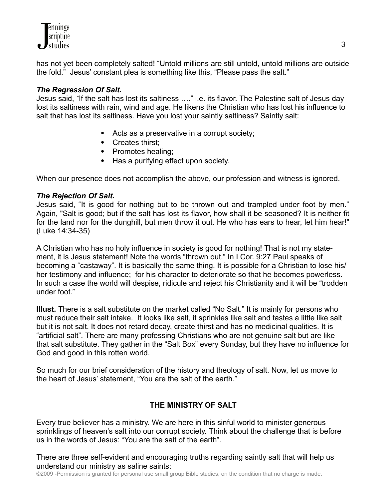has not yet been completely salted! "Untold millions are still untold, untold millions are outside the fold." Jesus' constant plea is something like this, "Please pass the salt."

## *The Regression Of Salt.*

Jesus said, *"*If the salt has lost its saltiness …." i.e. its flavor. The Palestine salt of Jesus day lost its saltiness with rain, wind and age. He likens the Christian who has lost his influence to salt that has lost its saltiness. Have you lost your saintly saltiness? Saintly salt:

- Acts as a preservative in a corrupt society;
- Creates thirst;
- Promotes healing;
- Has a purifying effect upon society.

When our presence does not accomplish the above, our profession and witness is ignored.

# *The Rejection Of Salt.*

Jesus said, "It is good for nothing but to be thrown out and trampled under foot by men." Again, "Salt is good; but if the salt has lost its flavor, how shall it be seasoned? It is neither fit for the land nor for the dunghill, but men throw it out. He who has ears to hear, let him hear!" (Luke 14:34-35)

A Christian who has no holy influence in society is good for nothing! That is not my statement, it is Jesus statement! Note the words "thrown out." In I Cor. 9:27 Paul speaks of becoming a "castaway". It is basically the same thing. It is possible for a Christian to lose his/ her testimony and influence; for his character to deteriorate so that he becomes powerless. In such a case the world will despise, ridicule and reject his Christianity and it will be "trodden under foot."

**Illust.** There is a salt substitute on the market called "No Salt." It is mainly for persons who must reduce their salt intake. It looks like salt, it sprinkles like salt and tastes a little like salt but it is not salt. It does not retard decay, create thirst and has no medicinal qualities. It is "artificial salt". There are many professing Christians who are not genuine salt but are like that salt substitute. They gather in the "Salt Box" every Sunday, but they have no influence for God and good in this rotten world.

So much for our brief consideration of the history and theology of salt. Now, let us move to the heart of Jesus' statement, "You are the salt of the earth."

# **THE MINISTRY OF SALT**

Every true believer has a ministry. We are here in this sinful world to minister generous sprinklings of heaven's salt into our corrupt society. Think about the challenge that is before us in the words of Jesus: "You are the salt of the earth".

There are three self-evident and encouraging truths regarding saintly salt that will help us understand our ministry as saline saints:

©2009 -Permission is granted for personal use small group Bible studies, on the condition that no charge is made.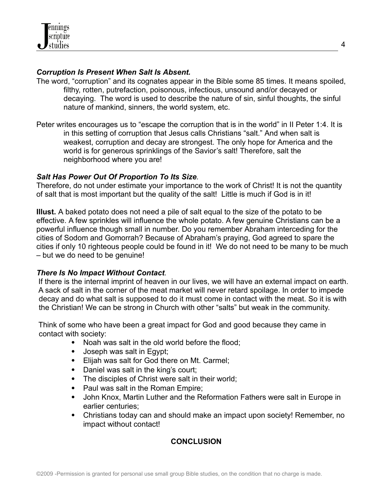## *Corruption Is Present When Salt Is Absent.*

- The word, "corruption" and its cognates appear in the Bible some 85 times. It means spoiled, filthy, rotten, putrefaction, poisonous, infectious, unsound and/or decayed or decaying. The word is used to describe the nature of sin, sinful thoughts, the sinful nature of mankind, sinners, the world system, etc.
- Peter writes encourages us to "escape the corruption that is in the world" in II Peter 1:4. It is in this setting of corruption that Jesus calls Christians "salt." And when salt is weakest, corruption and decay are strongest. The only hope for America and the world is for generous sprinklings of the Savior's salt! Therefore, salt the neighborhood where you are!

## *Salt Has Power Out Of Proportion To Its Size.*

Therefore, do not under estimate your importance to the work of Christ! It is not the quantity of salt that is most important but the quality of the salt! Little is much if God is in it!

**Illust.** A baked potato does not need a pile of salt equal to the size of the potato to be effective. A few sprinkles will influence the whole potato. A few genuine Christians can be a powerful influence though small in number. Do you remember Abraham interceding for the cities of Sodom and Gomorrah? Because of Abraham's praying, God agreed to spare the cities if only 10 righteous people could be found in it! We do not need to be many to be much – but we do need to be genuine!

## *There Is No Impact Without Contact.*

If there is the internal imprint of heaven in our lives, we will have an external impact on earth. A sack of salt in the corner of the meat market will never retard spoilage. In order to impede decay and do what salt is supposed to do it must come in contact with the meat. So it is with the Christian! We can be strong in Church with other "salts" but weak in the community.

Think of some who have been a great impact for God and good because they came in contact with society:

- Noah was salt in the old world before the flood;
- Joseph was salt in Egypt;
- Elijah was salt for God there on Mt. Carmel;
- Daniel was salt in the king's court;
- The disciples of Christ were salt in their world;
- Paul was salt in the Roman Empire;
- John Knox, Martin Luther and the Reformation Fathers were salt in Europe in earlier centuries;
- Christians today can and should make an impact upon society! Remember, no impact without contact!

# **CONCLUSION**